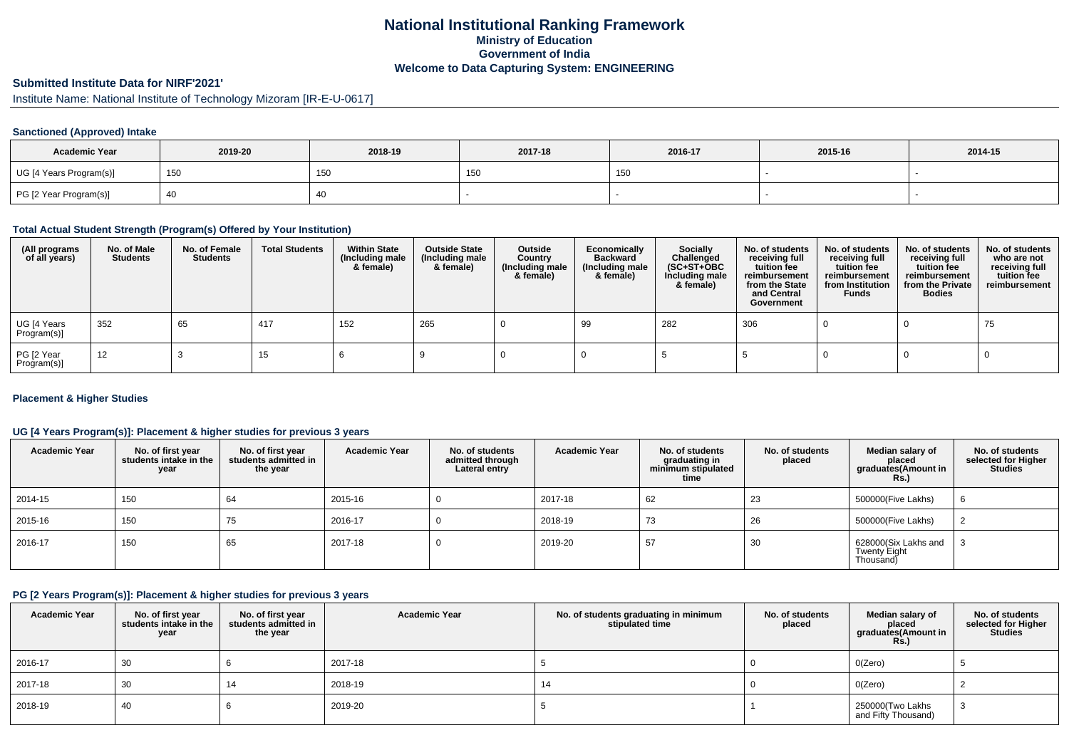## **National Institutional Ranking FrameworkMinistry of Education Government of IndiaWelcome to Data Capturing System: ENGINEERING**

## **Submitted Institute Data for NIRF'2021'**

Institute Name: National Institute of Technology Mizoram [IR-E-U-0617]

#### **Sanctioned (Approved) Intake**

| <b>Academic Year</b>    | 2019-20 | 2018-19 | 2017-18                 | 2016-17 | 2015-16 | 2014-15 |
|-------------------------|---------|---------|-------------------------|---------|---------|---------|
| UG [4 Years Program(s)] | 150     | 150     | 4E <sub>1</sub><br>י טי | 150     |         |         |
| PG [2 Year Program(s)]  |         | 40      |                         |         |         |         |

#### **Total Actual Student Strength (Program(s) Offered by Your Institution)**

| (All programs<br>of all years) | No. of Male<br><b>Students</b> | No. of Female<br><b>Students</b> | <b>Total Students</b> | <b>Within State</b><br>(Including male<br>& female) | <b>Outside State</b><br>(Including male<br>& female) | Outside<br>Country<br>(Including male<br>& female) | Economically<br><b>Backward</b><br>(Including male<br>& female) | <b>Socially</b><br>Challenged<br>$(SC+ST+OBC)$<br>Including male<br>& female) | No. of students<br>receiving full<br>tuition fee<br>reimbursement<br>from the State<br>and Central<br>Government | No. of students<br>receiving full<br>tuition fee<br>reimbursement<br>from Institution<br><b>Funds</b> | No. of students<br>receiving full<br>tuition fee<br>reimbursement<br>from the Private<br><b>Bodies</b> | No. of students<br>who are not<br>receiving full<br>tuition fee<br>reimbursement |
|--------------------------------|--------------------------------|----------------------------------|-----------------------|-----------------------------------------------------|------------------------------------------------------|----------------------------------------------------|-----------------------------------------------------------------|-------------------------------------------------------------------------------|------------------------------------------------------------------------------------------------------------------|-------------------------------------------------------------------------------------------------------|--------------------------------------------------------------------------------------------------------|----------------------------------------------------------------------------------|
| UG [4 Years<br>Program(s)]     | 352                            | 65                               | 417                   | 152                                                 | 265                                                  |                                                    | 99                                                              | 282                                                                           | 306                                                                                                              |                                                                                                       |                                                                                                        | 75                                                                               |
| PG [2 Year<br>Program(s)]      | 12                             |                                  | 15                    |                                                     |                                                      |                                                    |                                                                 |                                                                               |                                                                                                                  |                                                                                                       |                                                                                                        |                                                                                  |

#### **Placement & Higher Studies**

#### **UG [4 Years Program(s)]: Placement & higher studies for previous 3 years**

| <b>Academic Year</b> | No. of first year<br>students intake in the<br>year | No. of first vear<br>students admitted in<br>the year | <b>Academic Year</b> | No. of students<br>admitted through<br>Lateral entry | <b>Academic Year</b> | No. of students<br>graduating in<br>minimum stipulated<br>time | No. of students<br>placed | Median salary of<br>placed<br>graduates(Amount in<br><b>Rs.)</b> | No. of students<br>selected for Higher<br><b>Studies</b> |
|----------------------|-----------------------------------------------------|-------------------------------------------------------|----------------------|------------------------------------------------------|----------------------|----------------------------------------------------------------|---------------------------|------------------------------------------------------------------|----------------------------------------------------------|
| 2014-15              | 150                                                 | 64                                                    | 2015-16              |                                                      | 2017-18              | 62                                                             | 23                        | 500000(Five Lakhs)                                               | 6                                                        |
| 2015-16              | 150                                                 | 75                                                    | 2016-17              |                                                      | 2018-19              | 73                                                             | 26                        | 500000(Five Lakhs)                                               |                                                          |
| 2016-17              | 150                                                 | 65                                                    | 2017-18              |                                                      | 2019-20              | 57                                                             | 30                        | 628000(Six Lakhs and<br><b>Twenty Eight</b><br>Thousand)         |                                                          |

#### **PG [2 Years Program(s)]: Placement & higher studies for previous 3 years**

| <b>Academic Year</b> | No. of first year<br>students intake in the<br>year | No. of first year<br>students admitted in<br>the year | <b>Academic Year</b> | No. of students graduating in minimum<br>stipulated time | No. of students<br>placed | Median salary of<br>placed<br>graduates(Amount in<br><b>Rs.)</b> | No. of students<br>selected for Higher<br><b>Studies</b> |
|----------------------|-----------------------------------------------------|-------------------------------------------------------|----------------------|----------------------------------------------------------|---------------------------|------------------------------------------------------------------|----------------------------------------------------------|
| 2016-17              | 30                                                  |                                                       | 2017-18              |                                                          |                           | O(Zero)                                                          |                                                          |
| 2017-18              | 30                                                  | 14                                                    | 2018-19              | 14                                                       |                           | O(Zero)                                                          |                                                          |
| 2018-19              | 40                                                  |                                                       | 2019-20              |                                                          |                           | 250000(Two Lakhs<br>and Fifty Thousand)                          |                                                          |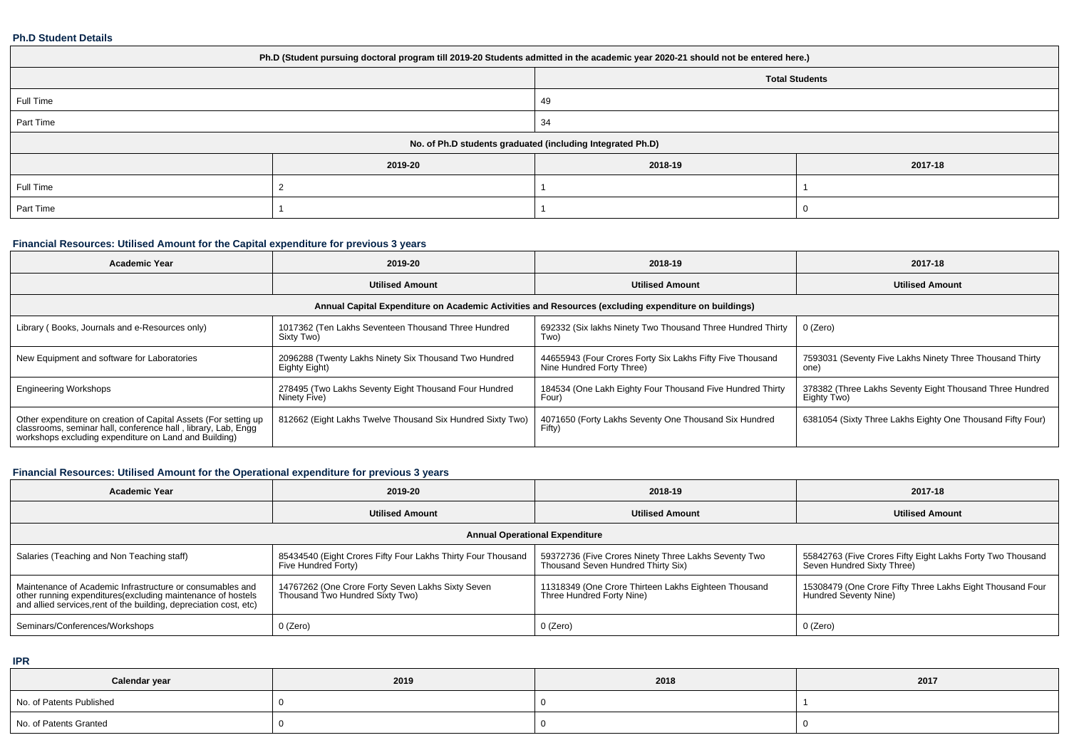#### **Ph.D Student Details**

| Ph.D (Student pursuing doctoral program till 2019-20 Students admitted in the academic year 2020-21 should not be entered here.) |         |                                                            |         |  |  |  |  |
|----------------------------------------------------------------------------------------------------------------------------------|---------|------------------------------------------------------------|---------|--|--|--|--|
|                                                                                                                                  |         | <b>Total Students</b>                                      |         |  |  |  |  |
| Full Time                                                                                                                        |         | 49                                                         |         |  |  |  |  |
| Part Time                                                                                                                        |         | 34                                                         |         |  |  |  |  |
|                                                                                                                                  |         | No. of Ph.D students graduated (including Integrated Ph.D) |         |  |  |  |  |
|                                                                                                                                  | 2019-20 | 2018-19                                                    | 2017-18 |  |  |  |  |
| Full Time                                                                                                                        |         |                                                            |         |  |  |  |  |
| Part Time                                                                                                                        |         |                                                            |         |  |  |  |  |

# **Financial Resources: Utilised Amount for the Capital expenditure for previous 3 years**

| <b>Academic Year</b>                                                                                                                                                                      | 2019-20                                                                | 2018-19                                                                                              | 2017-18                                                                 |  |
|-------------------------------------------------------------------------------------------------------------------------------------------------------------------------------------------|------------------------------------------------------------------------|------------------------------------------------------------------------------------------------------|-------------------------------------------------------------------------|--|
|                                                                                                                                                                                           | <b>Utilised Amount</b>                                                 | <b>Utilised Amount</b>                                                                               | <b>Utilised Amount</b>                                                  |  |
|                                                                                                                                                                                           |                                                                        | Annual Capital Expenditure on Academic Activities and Resources (excluding expenditure on buildings) |                                                                         |  |
| Library (Books, Journals and e-Resources only)                                                                                                                                            | 1017362 (Ten Lakhs Seventeen Thousand Three Hundred<br>Sixty Two)      | 692332 (Six lakhs Ninety Two Thousand Three Hundred Thirty<br>Two)                                   | 0 (Zero)                                                                |  |
| New Equipment and software for Laboratories                                                                                                                                               | 2096288 (Twenty Lakhs Ninety Six Thousand Two Hundred<br>Eighty Eight) | 44655943 (Four Crores Forty Six Lakhs Fifty Five Thousand<br>Nine Hundred Forty Three)               | 7593031 (Seventy Five Lakhs Ninety Three Thousand Thirty<br>one)        |  |
| <b>Engineering Workshops</b>                                                                                                                                                              | 278495 (Two Lakhs Seventy Eight Thousand Four Hundred<br>Ninety Five)  | 184534 (One Lakh Eighty Four Thousand Five Hundred Thirty<br>Four)                                   | 378382 (Three Lakhs Seventy Eight Thousand Three Hundred<br>Eighty Two) |  |
| Other expenditure on creation of Capital Assets (For setting up<br>classrooms, seminar hall, conference hall, library, Lab, Engq<br>workshops excluding expenditure on Land and Building) | 812662 (Eight Lakhs Twelve Thousand Six Hundred Sixty Two)             | 4071650 (Forty Lakhs Seventy One Thousand Six Hundred<br>Fifty)                                      | 6381054 (Sixty Three Lakhs Eighty One Thousand Fifty Four)              |  |

## **Financial Resources: Utilised Amount for the Operational expenditure for previous 3 years**

| <b>Academic Year</b>                                                                                                                                                                            | 2019-20                                                                              | 2018-19                                                                                    | 2017-18                                                                                  |  |  |  |  |  |  |
|-------------------------------------------------------------------------------------------------------------------------------------------------------------------------------------------------|--------------------------------------------------------------------------------------|--------------------------------------------------------------------------------------------|------------------------------------------------------------------------------------------|--|--|--|--|--|--|
|                                                                                                                                                                                                 | <b>Utilised Amount</b>                                                               | <b>Utilised Amount</b>                                                                     | <b>Utilised Amount</b>                                                                   |  |  |  |  |  |  |
| <b>Annual Operational Expenditure</b>                                                                                                                                                           |                                                                                      |                                                                                            |                                                                                          |  |  |  |  |  |  |
| Salaries (Teaching and Non Teaching staff)                                                                                                                                                      | 85434540 (Eight Crores Fifty Four Lakhs Thirty Four Thousand<br>Five Hundred Forty)  | 59372736 (Five Crores Ninety Three Lakhs Seventy Two<br>Thousand Seven Hundred Thirty Six) | 55842763 (Five Crores Fifty Eight Lakhs Forty Two Thousand<br>Seven Hundred Sixty Three) |  |  |  |  |  |  |
| Maintenance of Academic Infrastructure or consumables and<br>other running expenditures (excluding maintenance of hostels<br>and allied services, rent of the building, depreciation cost, etc) | 14767262 (One Crore Forty Seven Lakhs Sixty Seven<br>Thousand Two Hundred Sixty Two) | 11318349 (One Crore Thirteen Lakhs Eighteen Thousand<br>Three Hundred Forty Nine)          | 15308479 (One Crore Fifty Three Lakhs Eight Thousand Four<br>Hundred Seventy Nine)       |  |  |  |  |  |  |
| Seminars/Conferences/Workshops                                                                                                                                                                  | 0 (Zero)                                                                             | 0 (Zero)                                                                                   | 0 (Zero)                                                                                 |  |  |  |  |  |  |

**IPR**

| Calendar year            | 2019 | 2018 | 2017 |
|--------------------------|------|------|------|
| No. of Patents Published |      |      |      |
| No. of Patents Granted   |      |      |      |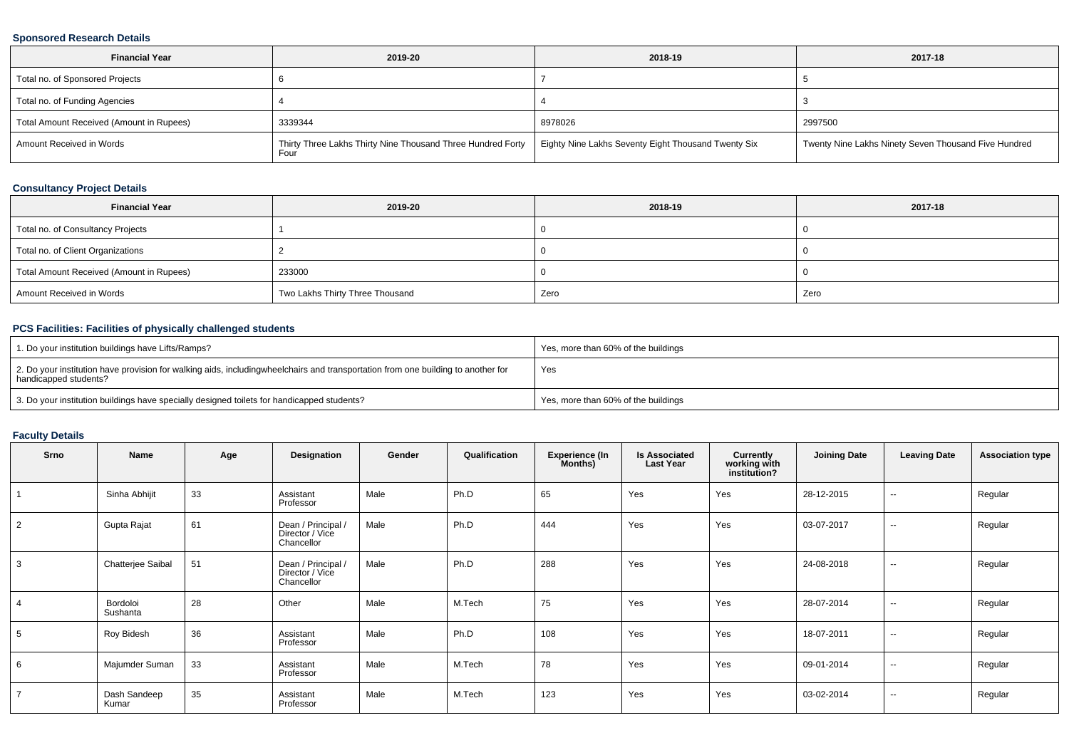#### **Sponsored Research Details**

| <b>Financial Year</b>                    | 2019-20                                                             | 2018-19                                             | 2017-18                                              |
|------------------------------------------|---------------------------------------------------------------------|-----------------------------------------------------|------------------------------------------------------|
| Total no. of Sponsored Projects          |                                                                     |                                                     |                                                      |
| Total no. of Funding Agencies            |                                                                     |                                                     |                                                      |
| Total Amount Received (Amount in Rupees) | 3339344                                                             | 8978026                                             | 2997500                                              |
| Amount Received in Words                 | Thirty Three Lakhs Thirty Nine Thousand Three Hundred Forty<br>Four | Eighty Nine Lakhs Seventy Eight Thousand Twenty Six | Twenty Nine Lakhs Ninety Seven Thousand Five Hundred |

## **Consultancy Project Details**

| <b>Financial Year</b>                    | 2019-20                         | 2018-19 | 2017-18 |
|------------------------------------------|---------------------------------|---------|---------|
| Total no. of Consultancy Projects        |                                 |         |         |
| Total no. of Client Organizations        |                                 |         |         |
| Total Amount Received (Amount in Rupees) | 233000                          |         |         |
| Amount Received in Words                 | Two Lakhs Thirty Three Thousand | Zero    | Zero    |

## **PCS Facilities: Facilities of physically challenged students**

| 1. Do your institution buildings have Lifts/Ramps?                                                                                                        | Yes, more than 60% of the buildings |
|-----------------------------------------------------------------------------------------------------------------------------------------------------------|-------------------------------------|
| 2. Do your institution have provision for walking aids, includingwheelchairs and transportation from one building to another for<br>handicapped students? | Yes                                 |
| 3. Do your institution buildings have specially designed toilets for handicapped students?                                                                | Yes, more than 60% of the buildings |

## **Faculty Details**

| <b>Srno</b> | Name                  | Age | Designation                                         | Gender | Qualification | <b>Experience (In</b><br><b>Months)</b> | <b>Is Associated</b><br><b>Last Year</b> | Currently<br>working with<br>institution? | <b>Joining Date</b> | <b>Leaving Date</b>      | <b>Association type</b> |
|-------------|-----------------------|-----|-----------------------------------------------------|--------|---------------|-----------------------------------------|------------------------------------------|-------------------------------------------|---------------------|--------------------------|-------------------------|
|             | Sinha Abhijit         | 33  | Assistant<br>Professor                              | Male   | Ph.D          | 65                                      | Yes                                      | Yes                                       | 28-12-2015          | $\sim$                   | Regular                 |
| 2           | Gupta Rajat           | 61  | Dean / Principal /<br>Director / Vice<br>Chancellor | Male   | Ph.D          | 444                                     | Yes                                      | Yes                                       | 03-07-2017          | $\sim$                   | Regular                 |
| 3           | Chatterjee Saibal     | 51  | Dean / Principal /<br>Director / Vice<br>Chancellor | Male   | Ph.D          | 288                                     | Yes                                      | Yes                                       | 24-08-2018          | $\sim$                   | Regular                 |
|             | Bordoloi<br>Sushanta  | 28  | Other                                               | Male   | M.Tech        | 75                                      | Yes                                      | Yes                                       | 28-07-2014          | $\sim$                   | Regular                 |
| 5           | Roy Bidesh            | 36  | Assistant<br>Professor                              | Male   | Ph.D          | 108                                     | Yes                                      | Yes                                       | 18-07-2011          | $\overline{\phantom{a}}$ | Regular                 |
| 6           | Majumder Suman        | 33  | Assistant<br>Professor                              | Male   | M.Tech        | 78                                      | Yes                                      | Yes                                       | 09-01-2014          | $\overline{\phantom{a}}$ | Regular                 |
|             | Dash Sandeep<br>Kumar | 35  | Assistant<br>Professor                              | Male   | M.Tech        | 123                                     | Yes                                      | Yes                                       | 03-02-2014          | $\sim$                   | Regular                 |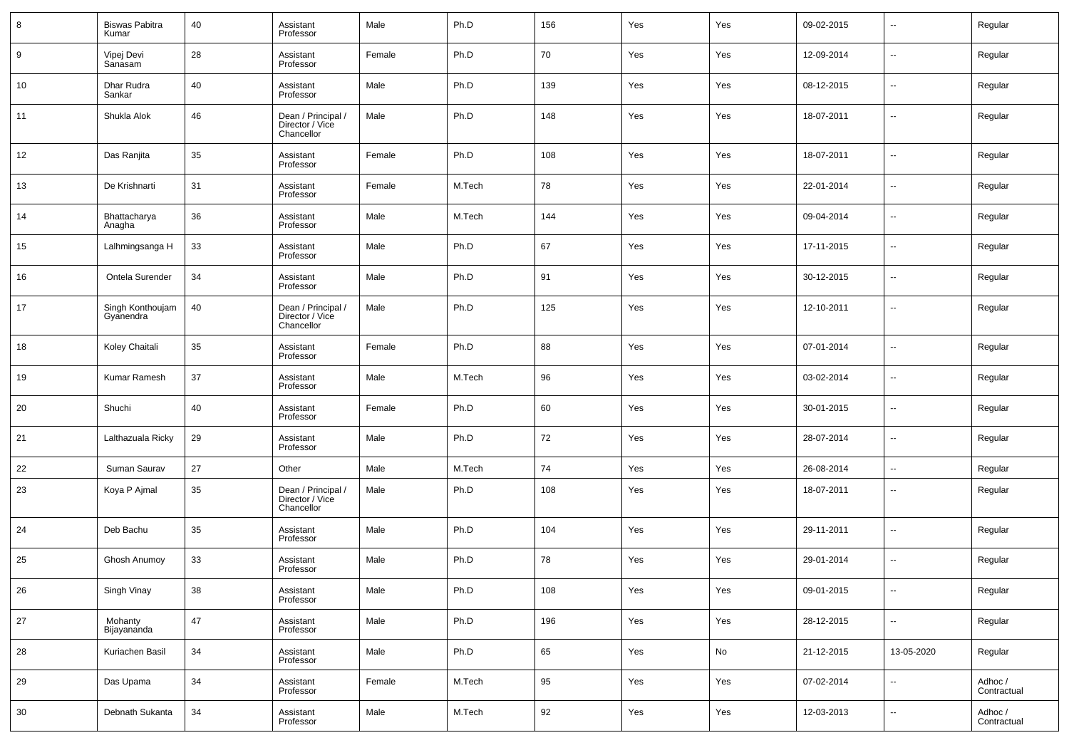| 8      | <b>Biswas Pabitra</b><br>Kumar | 40     | Assistant<br>Professor                              | Male   | Ph.D   | 156 | Yes | Yes | 09-02-2015 | --                       | Regular                |
|--------|--------------------------------|--------|-----------------------------------------------------|--------|--------|-----|-----|-----|------------|--------------------------|------------------------|
| 9      | Vipej Devi<br>Sanasam          | 28     | Assistant<br>Professor                              | Female | Ph.D   | 70  | Yes | Yes | 12-09-2014 | н.                       | Regular                |
| 10     | Dhar Rudra<br>Sankar           | 40     | Assistant<br>Professor                              | Male   | Ph.D   | 139 | Yes | Yes | 08-12-2015 | н.                       | Regular                |
| 11     | Shukla Alok                    | 46     | Dean / Principal /<br>Director / Vice<br>Chancellor | Male   | Ph.D   | 148 | Yes | Yes | 18-07-2011 | --                       | Regular                |
| 12     | Das Ranjita                    | 35     | Assistant<br>Professor                              | Female | Ph.D   | 108 | Yes | Yes | 18-07-2011 | $\overline{\phantom{a}}$ | Regular                |
| 13     | De Krishnarti                  | 31     | Assistant<br>Professor                              | Female | M.Tech | 78  | Yes | Yes | 22-01-2014 | н.                       | Regular                |
| 14     | Bhattacharya<br>Anagha         | 36     | Assistant<br>Professor                              | Male   | M.Tech | 144 | Yes | Yes | 09-04-2014 | $\overline{\phantom{a}}$ | Regular                |
| 15     | Lalhmingsanga H                | 33     | Assistant<br>Professor                              | Male   | Ph.D   | 67  | Yes | Yes | 17-11-2015 | $\overline{\phantom{a}}$ | Regular                |
| 16     | Ontela Surender                | 34     | Assistant<br>Professor                              | Male   | Ph.D   | 91  | Yes | Yes | 30-12-2015 | $\overline{\phantom{a}}$ | Regular                |
| 17     | Singh Konthoujam<br>Gyanendra  | 40     | Dean / Principal /<br>Director / Vice<br>Chancellor | Male   | Ph.D   | 125 | Yes | Yes | 12-10-2011 | н.                       | Regular                |
| 18     | Koley Chaitali                 | 35     | Assistant<br>Professor                              | Female | Ph.D   | 88  | Yes | Yes | 07-01-2014 | --                       | Regular                |
| 19     | Kumar Ramesh                   | 37     | Assistant<br>Professor                              | Male   | M.Tech | 96  | Yes | Yes | 03-02-2014 | --                       | Regular                |
| 20     | Shuchi                         | 40     | Assistant<br>Professor                              | Female | Ph.D   | 60  | Yes | Yes | 30-01-2015 | --                       | Regular                |
| 21     | Lalthazuala Ricky              | 29     | Assistant<br>Professor                              | Male   | Ph.D   | 72  | Yes | Yes | 28-07-2014 | --                       | Regular                |
| 22     | Suman Saurav                   | 27     | Other                                               | Male   | M.Tech | 74  | Yes | Yes | 26-08-2014 | н.                       | Regular                |
| 23     | Koya P Ajmal                   | 35     | Dean / Principal /<br>Director / Vice<br>Chancellor | Male   | Ph.D   | 108 | Yes | Yes | 18-07-2011 | --                       | Regular                |
| 24     | Deb Bachu                      | 35     | Assistant<br>Professor                              | Male   | Ph.D   | 104 | Yes | Yes | 29-11-2011 | --                       | Regular                |
| 25     | Ghosh Anumoy                   | 33     | Assistant<br>Professor                              | Male   | Ph.D   | 78  | Yes | Yes | 29-01-2014 | --                       | Regular                |
| 26     | Singh Vinay                    | $38\,$ | Assistant<br>Professor                              | Male   | Ph.D   | 108 | Yes | Yes | 09-01-2015 | н.                       | Regular                |
| 27     | Mohanty<br>Bijayananda         | 47     | Assistant<br>Professor                              | Male   | Ph.D   | 196 | Yes | Yes | 28-12-2015 | щ.                       | Regular                |
| 28     | Kuriachen Basil                | $34\,$ | Assistant<br>Professor                              | Male   | Ph.D   | 65  | Yes | No  | 21-12-2015 | 13-05-2020               | Regular                |
| 29     | Das Upama                      | 34     | Assistant<br>Professor                              | Female | M.Tech | 95  | Yes | Yes | 07-02-2014 | ш,                       | Adhoc /<br>Contractual |
| $30\,$ | Debnath Sukanta                | 34     | Assistant<br>Professor                              | Male   | M.Tech | 92  | Yes | Yes | 12-03-2013 | ۰.                       | Adhoc /<br>Contractual |